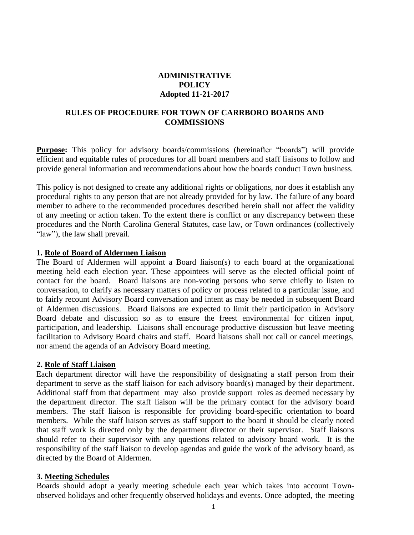## **ADMINISTRATIVE POLICY Adopted 11-21-2017**

### **RULES OF PROCEDURE FOR TOWN OF CARRBORO BOARDS AND COMMISSIONS**

**Purpose:** This policy for advisory boards/commissions (hereinafter "boards") will provide efficient and equitable rules of procedures for all board members and staff liaisons to follow and provide general information and recommendations about how the boards conduct Town business.

This policy is not designed to create any additional rights or obligations, nor does it establish any procedural rights to any person that are not already provided for by law. The failure of any board member to adhere to the recommended procedures described herein shall not affect the validity of any meeting or action taken. To the extent there is conflict or any discrepancy between these procedures and the North Carolina General Statutes, case law, or Town ordinances (collectively "law"), the law shall prevail.

#### **1. Role of Board of Aldermen Liaison**

The Board of Aldermen will appoint a Board liaison(s) to each board at the organizational meeting held each election year. These appointees will serve as the elected official point of contact for the board. Board liaisons are non-voting persons who serve chiefly to listen to conversation, to clarify as necessary matters of policy or process related to a particular issue, and to fairly recount Advisory Board conversation and intent as may be needed in subsequent Board of Aldermen discussions. Board liaisons are expected to limit their participation in Advisory Board debate and discussion so as to ensure the freest environmental for citizen input, participation, and leadership. Liaisons shall encourage productive discussion but leave meeting facilitation to Advisory Board chairs and staff. Board liaisons shall not call or cancel meetings, nor amend the agenda of an Advisory Board meeting.

#### **2. Role of Staff Liaison**

Each department director will have the responsibility of designating a staff person from their department to serve as the staff liaison for each advisory board(s) managed by their department. Additional staff from that department may also provide support roles as deemed necessary by the department director. The staff liaison will be the primary contact for the advisory board members. The staff liaison is responsible for providing board-specific orientation to board members. While the staff liaison serves as staff support to the board it should be clearly noted that staff work is directed only by the department director or their supervisor. Staff liaisons should refer to their supervisor with any questions related to advisory board work. It is the responsibility of the staff liaison to develop agendas and guide the work of the advisory board, as directed by the Board of Aldermen.

#### **3. Meeting Schedules**

Boards should adopt a yearly meeting schedule each year which takes into account Townobserved holidays and other frequently observed holidays and events. Once adopted, the meeting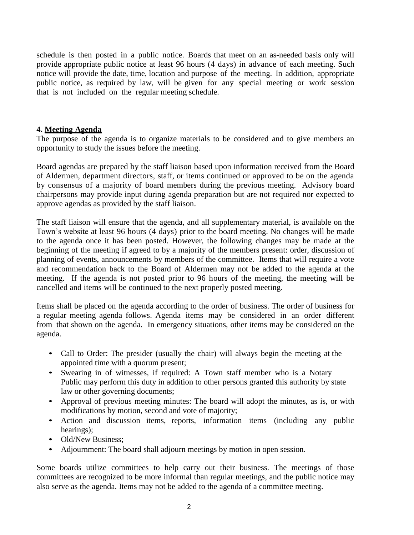schedule is then posted in a public notice. Boards that meet on an as-needed basis only will provide appropriate public notice at least 96 hours (4 days) in advance of each meeting. Such notice will provide the date, time, location and purpose of the meeting. In addition, appropriate public notice, as required by law, will be given for any special meeting or work session that is not included on the regular meeting schedule.

#### **4. Meeting Agenda**

The purpose of the agenda is to organize materials to be considered and to give members an opportunity to study the issues before the meeting.

Board agendas are prepared by the staff liaison based upon information received from the Board of Aldermen, department directors, staff, or items continued or approved to be on the agenda by consensus of a majority of board members during the previous meeting. Advisory board chairpersons may provide input during agenda preparation but are not required nor expected to approve agendas as provided by the staff liaison.

The staff liaison will ensure that the agenda, and all supplementary material, is available on the Town's website at least 96 hours (4 days) prior to the board meeting. No changes will be made to the agenda once it has been posted. However, the following changes may be made at the beginning of the meeting if agreed to by a majority of the members present: order, discussion of planning of events, announcements by members of the committee. Items that will require a vote and recommendation back to the Board of Aldermen may not be added to the agenda at the meeting. If the agenda is not posted prior to 96 hours of the meeting, the meeting will be cancelled and items will be continued to the next properly posted meeting.

Items shall be placed on the agenda according to the order of business. The order of business for a regular meeting agenda follows. Agenda items may be considered in an order different from that shown on the agenda. In emergency situations, other items may be considered on the agenda.

- Call to Order: The presider (usually the chair) will always begin the meeting at the appointed time with a quorum present;
- Swearing in of witnesses, if required: A Town staff member who is a Notary Public may perform this duty in addition to other persons granted this authority by state law or other governing documents;
- Approval of previous meeting minutes: The board will adopt the minutes, as is, or with modifications by motion, second and vote of majority;
- Action and discussion items, reports, information items (including any public hearings);
- Old/New Business:
- Adjournment: The board shall adjourn meetings by motion in open session.

Some boards utilize committees to help carry out their business. The meetings of those committees are recognized to be more informal than regular meetings, and the public notice may also serve as the agenda. Items may not be added to the agenda of a committee meeting.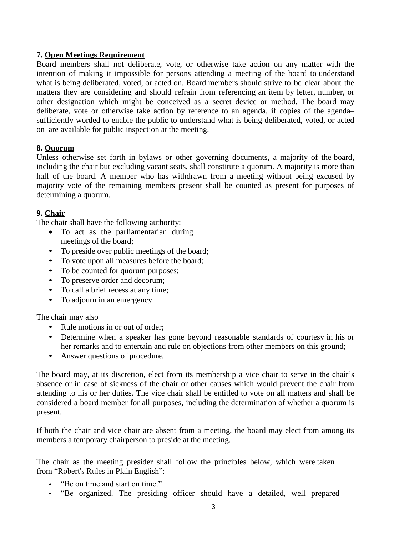## **7. Open Meetings Requirement**

Board members shall not deliberate, vote, or otherwise take action on any matter with the intention of making it impossible for persons attending a meeting of the board to understand what is being deliberated, voted, or acted on. Board members should strive to be clear about the matters they are considering and should refrain from referencing an item by letter, number, or other designation which might be conceived as a secret device or method. The board may deliberate, vote or otherwise take action by reference to an agenda, if copies of the agenda– sufficiently worded to enable the public to understand what is being deliberated, voted, or acted on–are available for public inspection at the meeting.

### **8. Quorum**

Unless otherwise set forth in bylaws or other governing documents, a majority of the board, including the chair but excluding vacant seats, shall constitute a quorum. A majority is more than half of the board. A member who has withdrawn from a meeting without being excused by majority vote of the remaining members present shall be counted as present for purposes of determining a quorum.

### **9. Chair**

The chair shall have the following authority:

- To act as the parliamentarian during meetings of the board;
- To preside over public meetings of the board;
- To vote upon all measures before the board;
- To be counted for quorum purposes;
- To preserve order and decorum:
- To call a brief recess at any time;
- To adjourn in an emergency.

The chair may also

- Rule motions in or out of order;
- Determine when a speaker has gone beyond reasonable standards of courtesy in his or her remarks and to entertain and rule on objections from other members on this ground;
- Answer questions of procedure.

The board may, at its discretion, elect from its membership a vice chair to serve in the chair's absence or in case of sickness of the chair or other causes which would prevent the chair from attending to his or her duties. The vice chair shall be entitled to vote on all matters and shall be considered a board member for all purposes, including the determination of whether a quorum is present.

If both the chair and vice chair are absent from a meeting, the board may elect from among its members a temporary chairperson to preside at the meeting.

The chair as the meeting presider shall follow the principles below, which were taken from "Robert's Rules in Plain English":

- "Be on time and start on time."
- "Be organized. The presiding officer should have a detailed, well prepared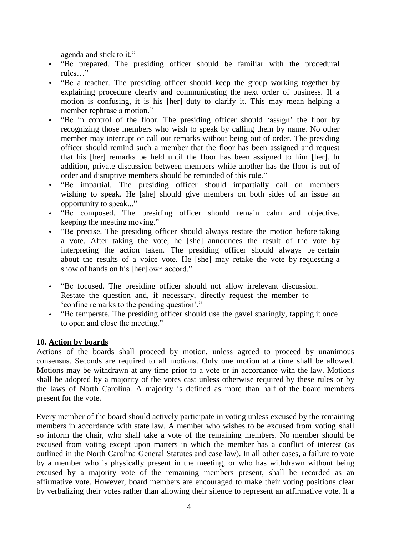agenda and stick to it."

- "Be prepared. The presiding officer should be familiar with the procedural rules…"
- "Be a teacher. The presiding officer should keep the group working together by explaining procedure clearly and communicating the next order of business. If a motion is confusing, it is his [her] duty to clarify it. This may mean helping a member rephrase a motion."
- "Be in control of the floor. The presiding officer should 'assign' the floor by recognizing those members who wish to speak by calling them by name. No other member may interrupt or call out remarks without being out of order. The presiding officer should remind such a member that the floor has been assigned and request that his [her] remarks be held until the floor has been assigned to him [her]. In addition, private discussion between members while another has the floor is out of order and disruptive members should be reminded of this rule."
- "Be impartial. The presiding officer should impartially call on members wishing to speak. He [she] should give members on both sides of an issue an opportunity to speak..."
- "Be composed. The presiding officer should remain calm and objective, keeping the meeting moving."
- "Be precise. The presiding officer should always restate the motion before taking a vote. After taking the vote, he [she] announces the result of the vote by interpreting the action taken. The presiding officer should always be certain about the results of a voice vote. He [she] may retake the vote by requesting a show of hands on his [her] own accord."
- "Be focused. The presiding officer should not allow irrelevant discussion. Restate the question and, if necessary, directly request the member to 'confine remarks to the pending question'."
- "Be temperate. The presiding officer should use the gavel sparingly, tapping it once to open and close the meeting."

# **10. Action by boards**

Actions of the boards shall proceed by motion, unless agreed to proceed by unanimous consensus. Seconds are required to all motions. Only one motion at a time shall be allowed. Motions may be withdrawn at any time prior to a vote or in accordance with the law. Motions shall be adopted by a majority of the votes cast unless otherwise required by these rules or by the laws of North Carolina. A majority is defined as more than half of the board members present for the vote.

Every member of the board should actively participate in voting unless excused by the remaining members in accordance with state law. A member who wishes to be excused from voting shall so inform the chair, who shall take a vote of the remaining members. No member should be excused from voting except upon matters in which the member has a conflict of interest (as outlined in the North Carolina General Statutes and case law). In all other cases, a failure to vote by a member who is physically present in the meeting, or who has withdrawn without being excused by a majority vote of the remaining members present, shall be recorded as an affirmative vote. However, board members are encouraged to make their voting positions clear by verbalizing their votes rather than allowing their silence to represent an affirmative vote. If a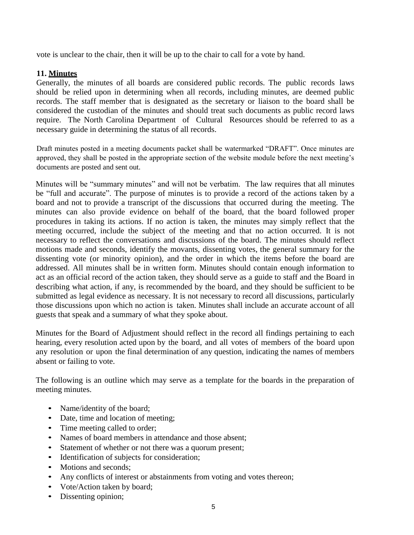vote is unclear to the chair, then it will be up to the chair to call for a vote by hand.

## **11. Minutes**

Generally, the minutes of all boards are considered public records. The public records laws should be relied upon in determining when all records, including minutes, are deemed public records. The staff member that is designated as the secretary or liaison to the board shall be considered the custodian of the minutes and should treat such documents as public record laws require. The North Carolina Department of Cultural Resources should be referred to as a necessary guide in determining the status of all records.

Draft minutes posted in a meeting documents packet shall be watermarked "DRAFT". Once minutes are approved, they shall be posted in the appropriate section of the website module before the next meeting's documents are posted and sent out.

Minutes will be "summary minutes" and will not be verbatim. The law requires that all minutes be "full and accurate". The purpose of minutes is to provide a record of the actions taken by a board and not to provide a transcript of the discussions that occurred during the meeting. The minutes can also provide evidence on behalf of the board, that the board followed proper procedures in taking its actions. If no action is taken, the minutes may simply reflect that the meeting occurred, include the subject of the meeting and that no action occurred. It is not necessary to reflect the conversations and discussions of the board. The minutes should reflect motions made and seconds, identify the movants, dissenting votes, the general summary for the dissenting vote (or minority opinion), and the order in which the items before the board are addressed. All minutes shall be in written form. Minutes should contain enough information to act as an official record of the action taken, they should serve as a guide to staff and the Board in describing what action, if any, is recommended by the board, and they should be sufficient to be submitted as legal evidence as necessary. It is not necessary to record all discussions, particularly those discussions upon which no action is taken. Minutes shall include an accurate account of all guests that speak and a summary of what they spoke about.

Minutes for the Board of Adjustment should reflect in the record all findings pertaining to each hearing, every resolution acted upon by the board, and all votes of members of the board upon any resolution or upon the final determination of any question, indicating the names of members absent or failing to vote.

The following is an outline which may serve as a template for the boards in the preparation of meeting minutes.

- Name/identity of the board;
- Date, time and location of meeting;
- Time meeting called to order;
- Names of board members in attendance and those absent;
- Statement of whether or not there was a quorum present;
- Identification of subjects for consideration;
- Motions and seconds:
- Any conflicts of interest or abstainments from voting and votes thereon;
- Vote/Action taken by board;
- Dissenting opinion;